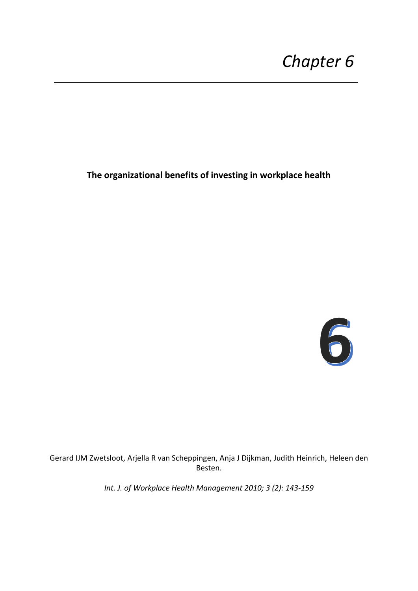# **The organizational benefits of investing in workplace health**



Gerard IJM Zwetsloot, Arjella R van Scheppingen, Anja J Dijkman, Judith Heinrich, Heleen den Besten.

*Int. J. of Workplace Health Management 2010; 3 (2): 143-159*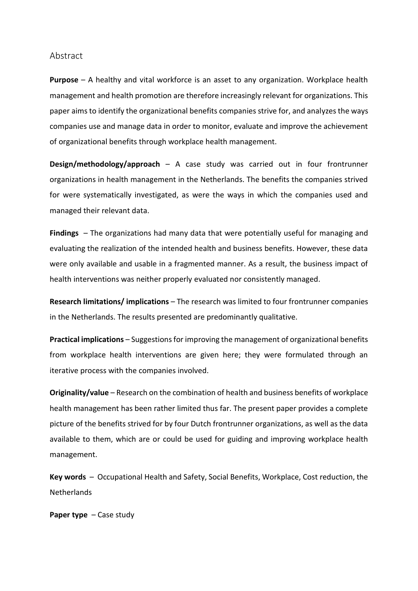#### Abstract

**Purpose** – A healthy and vital workforce is an asset to any organization. Workplace health management and health promotion are therefore increasingly relevant for organizations. This paper aims to identify the organizational benefits companies strive for, and analyzes the ways companies use and manage data in order to monitor, evaluate and improve the achievement of organizational benefits through workplace health management.

**Design/methodology/approach** – A case study was carried out in four frontrunner organizations in health management in the Netherlands. The benefits the companies strived for were systematically investigated, as were the ways in which the companies used and managed their relevant data.

**Findings** – The organizations had many data that were potentially useful for managing and evaluating the realization of the intended health and business benefits. However, these data were only available and usable in a fragmented manner. As a result, the business impact of health interventions was neither properly evaluated nor consistently managed.

**Research limitations/ implications** – The research was limited to four frontrunner companies in the Netherlands. The results presented are predominantly qualitative.

**Practical implications** – Suggestions for improving the management of organizational benefits from workplace health interventions are given here; they were formulated through an iterative process with the companies involved.

**Originality/value** – Research on the combination of health and business benefits of workplace health management has been rather limited thus far. The present paper provides a complete picture of the benefits strived for by four Dutch frontrunner organizations, as well as the data available to them, which are or could be used for guiding and improving workplace health management.

**Key words** – Occupational Health and Safety, Social Benefits, Workplace, Cost reduction, the Netherlands

**Paper type** – Case study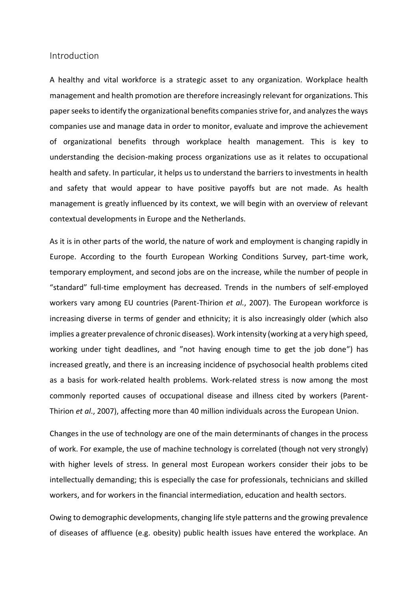### **Introduction**

A healthy and vital workforce is a strategic asset to any organization. Workplace health management and health promotion are therefore increasingly relevant for organizations. This paper seeks to identify the organizational benefits companies strive for, and analyzes the ways companies use and manage data in order to monitor, evaluate and improve the achievement of organizational benefits through workplace health management. This is key to understanding the decision-making process organizations use as it relates to occupational health and safety. In particular, it helps us to understand the barriers to investments in health and safety that would appear to have positive payoffs but are not made. As health management is greatly influenced by its context, we will begin with an overview of relevant contextual developments in Europe and the Netherlands.

As it is in other parts of the world, the nature of work and employment is changing rapidly in Europe. According to the fourth European Working Conditions Survey, part-time work, temporary employment, and second jobs are on the increase, while the number of people in "standard" full-time employment has decreased. Trends in the numbers of self-employed workers vary among EU countries (Parent-Thirion *et al.*, 2007). The European workforce is increasing diverse in terms of gender and ethnicity; it is also increasingly older (which also implies a greater prevalence of chronic diseases). Work intensity (working at a very high speed, working under tight deadlines, and "not having enough time to get the job done") has increased greatly, and there is an increasing incidence of psychosocial health problems cited as a basis for work-related health problems. Work-related stress is now among the most commonly reported causes of occupational disease and illness cited by workers (Parent-Thirion *et al*., 2007), affecting more than 40 million individuals across the European Union.

Changes in the use of technology are one of the main determinants of changes in the process of work. For example, the use of machine technology is correlated (though not very strongly) with higher levels of stress. In general most European workers consider their jobs to be intellectually demanding; this is especially the case for professionals, technicians and skilled workers, and for workers in the financial intermediation, education and health sectors.

Owing to demographic developments, changing life style patterns and the growing prevalence of diseases of affluence (e.g. obesity) public health issues have entered the workplace. An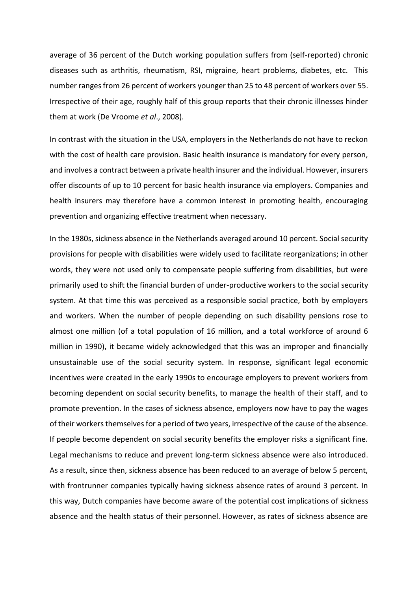average of 36 percent of the Dutch working population suffers from (self-reported) chronic diseases such as arthritis, rheumatism, RSI, migraine, heart problems, diabetes, etc. This number ranges from 26 percent of workers younger than 25 to 48 percent of workers over 55. Irrespective of their age, roughly half of this group reports that their chronic illnesses hinder them at work (De Vroome *et al*., 2008).

In contrast with the situation in the USA, employers in the Netherlands do not have to reckon with the cost of health care provision. Basic health insurance is mandatory for every person, and involves a contract between a private health insurer and the individual. However, insurers offer discounts of up to 10 percent for basic health insurance via employers. Companies and health insurers may therefore have a common interest in promoting health, encouraging prevention and organizing effective treatment when necessary.

In the 1980s, sickness absence in the Netherlands averaged around 10 percent. Social security provisions for people with disabilities were widely used to facilitate reorganizations; in other words, they were not used only to compensate people suffering from disabilities, but were primarily used to shift the financial burden of under-productive workers to the social security system. At that time this was perceived as a responsible social practice, both by employers and workers. When the number of people depending on such disability pensions rose to almost one million (of a total population of 16 million, and a total workforce of around 6 million in 1990), it became widely acknowledged that this was an improper and financially unsustainable use of the social security system. In response, significant legal economic incentives were created in the early 1990s to encourage employers to prevent workers from becoming dependent on social security benefits, to manage the health of their staff, and to promote prevention. In the cases of sickness absence, employers now have to pay the wages of their workers themselves for a period of two years, irrespective of the cause of the absence. If people become dependent on social security benefits the employer risks a significant fine. Legal mechanisms to reduce and prevent long-term sickness absence were also introduced. As a result, since then, sickness absence has been reduced to an average of below 5 percent, with frontrunner companies typically having sickness absence rates of around 3 percent. In this way, Dutch companies have become aware of the potential cost implications of sickness absence and the health status of their personnel. However, as rates of sickness absence are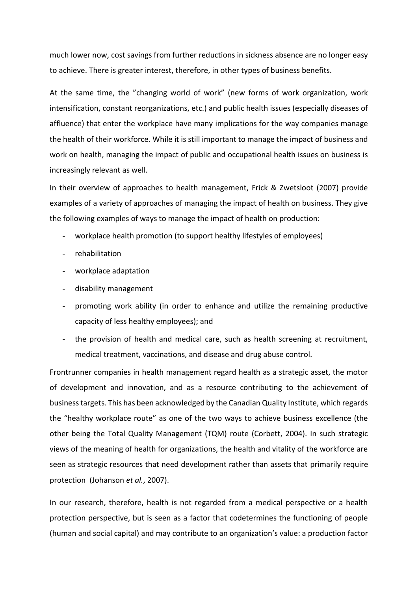much lower now, cost savings from further reductions in sickness absence are no longer easy to achieve. There is greater interest, therefore, in other types of business benefits.

At the same time, the "changing world of work" (new forms of work organization, work intensification, constant reorganizations, etc.) and public health issues (especially diseases of affluence) that enter the workplace have many implications for the way companies manage the health of their workforce. While it is still important to manage the impact of business and work on health, managing the impact of public and occupational health issues on business is increasingly relevant as well.

In their overview of approaches to health management, Frick & Zwetsloot (2007) provide examples of a variety of approaches of managing the impact of health on business. They give the following examples of ways to manage the impact of health on production:

- workplace health promotion (to support healthy lifestyles of employees)
- rehabilitation
- workplace adaptation
- disability management
- promoting work ability (in order to enhance and utilize the remaining productive capacity of less healthy employees); and
- the provision of health and medical care, such as health screening at recruitment, medical treatment, vaccinations, and disease and drug abuse control.

Frontrunner companies in health management regard health as a strategic asset, the motor of development and innovation, and as a resource contributing to the achievement of business targets. This has been acknowledged by the Canadian Quality Institute, which regards the "healthy workplace route" as one of the two ways to achieve business excellence (the other being the Total Quality Management (TQM) route (Corbett, 2004). In such strategic views of the meaning of health for organizations, the health and vitality of the workforce are seen as strategic resources that need development rather than assets that primarily require protection (Johanson *et al.*, 2007).

In our research, therefore, health is not regarded from a medical perspective or a health protection perspective, but is seen as a factor that codetermines the functioning of people (human and social capital) and may contribute to an organization's value: a production factor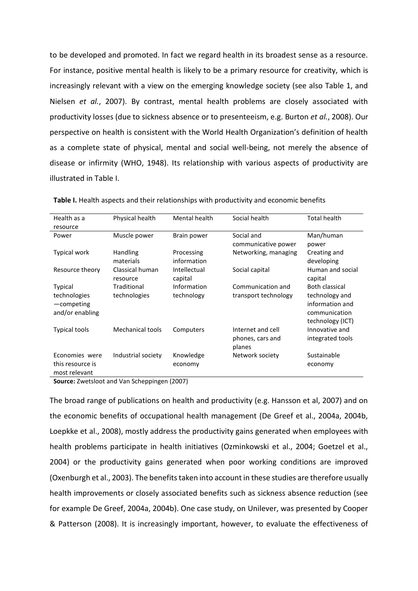to be developed and promoted. In fact we regard health in its broadest sense as a resource. For instance, positive mental health is likely to be a primary resource for creativity, which is increasingly relevant with a view on the emerging knowledge society (see also Table 1, and Nielsen *et al.*, 2007). By contrast, mental health problems are closely associated with productivity losses (due to sickness absence or to presenteeism, e.g. Burton *et al.*, 2008). Our perspective on health is consistent with the World Health Organization's definition of health as a complete state of physical, mental and social well-being, not merely the absence of disease or infirmity (WHO, 1948). Its relationship with various aspects of productivity are illustrated in Table I.

| Health as a<br>resource                             | Physical health              | Mental health             | Social health                                   | <b>Total health</b>                                                    |
|-----------------------------------------------------|------------------------------|---------------------------|-------------------------------------------------|------------------------------------------------------------------------|
| Power                                               | Muscle power                 | Brain power               | Social and<br>communicative power               | Man/human<br>power                                                     |
| Typical work                                        | <b>Handling</b><br>materials | Processing<br>information | Networking, managing                            | Creating and<br>developing                                             |
| Resource theory                                     | Classical human<br>resource  | Intellectual<br>capital   | Social capital                                  | Human and social<br>capital                                            |
| Typical                                             | Traditional                  | Information               | Communication and                               | <b>Both classical</b>                                                  |
| technologies<br>$-$ competing<br>and/or enabling    | technologies                 | technology                | transport technology                            | technology and<br>information and<br>communication<br>technology (ICT) |
| <b>Typical tools</b>                                | Mechanical tools             | Computers                 | Internet and cell<br>phones, cars and<br>planes | Innovative and<br>integrated tools                                     |
| Economies were<br>this resource is<br>most relevant | Industrial society           | Knowledge<br>economy      | Network society                                 | Sustainable<br>economy                                                 |

**Table I.** Health aspects and their relationships with productivity and economic benefits

**Source:** Zwetsloot and Van Scheppingen (2007)

The broad range of publications on health and productivity (e.g. Hansson et al, 2007) and on the economic benefits of occupational health management (De Greef et al., 2004a, 2004b, Loepkke et al., 2008), mostly address the productivity gains generated when employees with health problems participate in health initiatives (Ozminkowski et al., 2004; Goetzel et al., 2004) or the productivity gains generated when poor working conditions are improved (Oxenburgh et al., 2003). The benefits taken into account in these studies are therefore usually health improvements or closely associated benefits such as sickness absence reduction (see for example De Greef, 2004a, 2004b). One case study, on Unilever, was presented by Cooper & Patterson (2008). It is increasingly important, however, to evaluate the effectiveness of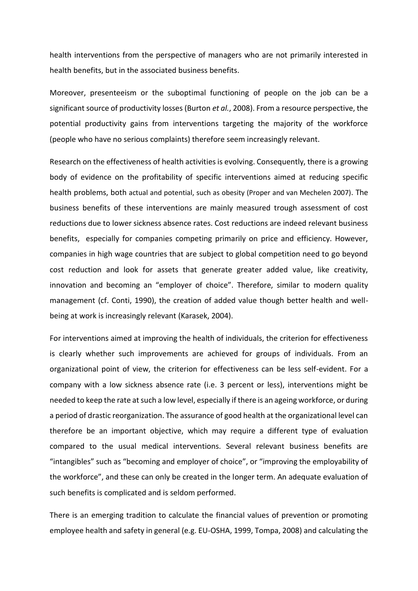health interventions from the perspective of managers who are not primarily interested in health benefits, but in the associated business benefits.

Moreover, presenteeism or the suboptimal functioning of people on the job can be a significant source of productivity losses (Burton *et al.*, 2008). From a resource perspective, the potential productivity gains from interventions targeting the majority of the workforce (people who have no serious complaints) therefore seem increasingly relevant.

Research on the effectiveness of health activities is evolving. Consequently, there is a growing body of evidence on the profitability of specific interventions aimed at reducing specific health problems, both actual and potential, such as obesity (Proper and van Mechelen 2007). The business benefits of these interventions are mainly measured trough assessment of cost reductions due to lower sickness absence rates. Cost reductions are indeed relevant business benefits, especially for companies competing primarily on price and efficiency. However, companies in high wage countries that are subject to global competition need to go beyond cost reduction and look for assets that generate greater added value, like creativity, innovation and becoming an "employer of choice". Therefore, similar to modern quality management (cf. Conti, 1990), the creation of added value though better health and wellbeing at work is increasingly relevant (Karasek, 2004).

For interventions aimed at improving the health of individuals, the criterion for effectiveness is clearly whether such improvements are achieved for groups of individuals. From an organizational point of view, the criterion for effectiveness can be less self-evident. For a company with a low sickness absence rate (i.e. 3 percent or less), interventions might be needed to keep the rate at such a low level, especially if there is an ageing workforce, or during a period of drastic reorganization. The assurance of good health at the organizational level can therefore be an important objective, which may require a different type of evaluation compared to the usual medical interventions. Several relevant business benefits are "intangibles" such as "becoming and employer of choice", or "improving the employability of the workforce", and these can only be created in the longer term. An adequate evaluation of such benefits is complicated and is seldom performed.

There is an emerging tradition to calculate the financial values of prevention or promoting employee health and safety in general (e.g. EU-OSHA, 1999, Tompa, 2008) and calculating the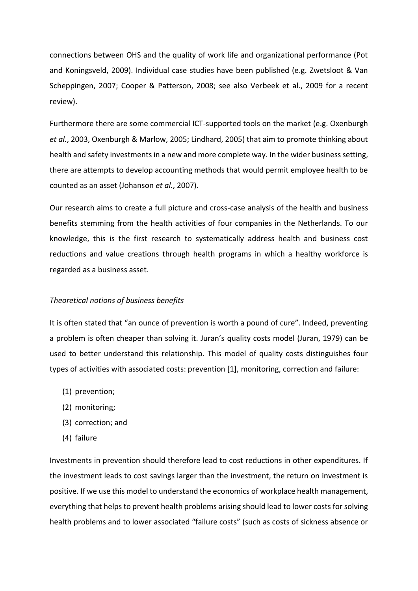connections between OHS and the quality of work life and organizational performance (Pot and Koningsveld, 2009). Individual case studies have been published (e.g. Zwetsloot & Van Scheppingen, 2007; Cooper & Patterson, 2008; see also Verbeek et al., 2009 for a recent review).

Furthermore there are some commercial ICT-supported tools on the market (e.g. Oxenburgh *et al.*, 2003, Oxenburgh & Marlow, 2005; Lindhard, 2005) that aim to promote thinking about health and safety investments in a new and more complete way. In the wider business setting, there are attempts to develop accounting methods that would permit employee health to be counted as an asset (Johanson *et al.*, 2007).

Our research aims to create a full picture and cross-case analysis of the health and business benefits stemming from the health activities of four companies in the Netherlands. To our knowledge, this is the first research to systematically address health and business cost reductions and value creations through health programs in which a healthy workforce is regarded as a business asset.

#### *Theoretical notions of business benefits*

It is often stated that "an ounce of prevention is worth a pound of cure". Indeed, preventing a problem is often cheaper than solving it. Juran's quality costs model (Juran, 1979) can be used to better understand this relationship. This model of quality costs distinguishes four types of activities with associated costs: prevention [1], monitoring, correction and failure:

- (1) prevention;
- (2) monitoring;
- (3) correction; and
- (4) failure

Investments in prevention should therefore lead to cost reductions in other expenditures. If the investment leads to cost savings larger than the investment, the return on investment is positive. If we use this model to understand the economics of workplace health management, everything that helps to prevent health problems arising should lead to lower costs for solving health problems and to lower associated "failure costs" (such as costs of sickness absence or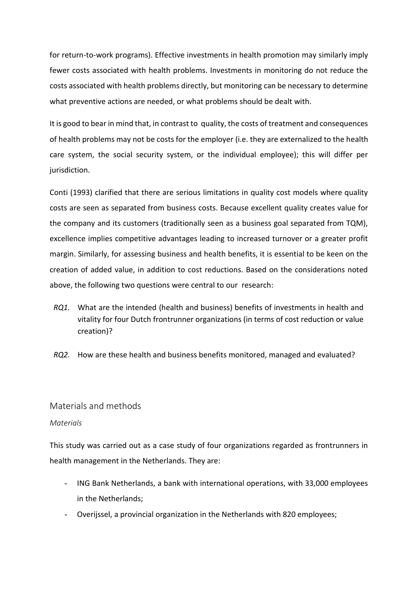for return-to-work programs). Effective investments in health promotion may similarly imply fewer costs associated with health problems. Investments in monitoring do not reduce the costs associated with health problems directly, but monitoring can be necessary to determine what preventive actions are needed, or what problems should be dealt with.

It is good to bear in mind that, in contrast to quality, the costs of treatment and consequences of health problems may not be costs for the employer (i.e. they are externalized to the health care system, the social security system, or the individual employee); this will differ per jurisdiction.

Conti (1993) clarified that there are serious limitations in quality cost models where quality costs are seen as separated from business costs. Because excellent quality creates value for the company and its customers (traditionally seen as a business goal separated from TQM), excellence implies competitive advantages leading to increased turnover or a greater profit margin. Similarly, for assessing business and health benefits, it is essential to be keen on the creation of added value, in addition to cost reductions. Based on the considerations noted above, the following two questions were central to our research:

- *RQ1.* What are the intended (health and business) benefits of investments in health and vitality for four Dutch frontrunner organizations (in terms of cost reduction or value creation)?
- *RQ2.* How are these health and business benefits monitored, managed and evaluated?

## Materials and methods

## *Materials*

This study was carried out as a case study of four organizations regarded as frontrunners in health management in the Netherlands. They are:

- ING Bank Netherlands, a bank with international operations, with 33,000 employees in the Netherlands;
- Overijssel, a provincial organization in the Netherlands with 820 employees;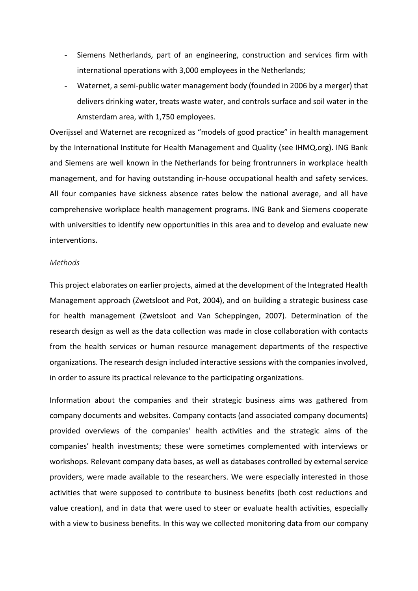- Siemens Netherlands, part of an engineering, construction and services firm with international operations with 3,000 employees in the Netherlands;
- Waternet, a semi-public water management body (founded in 2006 by a merger) that delivers drinking water, treats waste water, and controls surface and soil water in the Amsterdam area, with 1,750 employees.

Overijssel and Waternet are recognized as "models of good practice" in health management by the International Institute for Health Management and Quality (see IHMQ.org). ING Bank and Siemens are well known in the Netherlands for being frontrunners in workplace health management, and for having outstanding in-house occupational health and safety services. All four companies have sickness absence rates below the national average, and all have comprehensive workplace health management programs. ING Bank and Siemens cooperate with universities to identify new opportunities in this area and to develop and evaluate new interventions.

#### *Methods*

This project elaborates on earlier projects, aimed at the development of the Integrated Health Management approach (Zwetsloot and Pot, 2004), and on building a strategic business case for health management (Zwetsloot and Van Scheppingen, 2007). Determination of the research design as well as the data collection was made in close collaboration with contacts from the health services or human resource management departments of the respective organizations. The research design included interactive sessions with the companies involved, in order to assure its practical relevance to the participating organizations.

Information about the companies and their strategic business aims was gathered from company documents and websites. Company contacts (and associated company documents) provided overviews of the companies' health activities and the strategic aims of the companies' health investments; these were sometimes complemented with interviews or workshops. Relevant company data bases, as well as databases controlled by external service providers, were made available to the researchers. We were especially interested in those activities that were supposed to contribute to business benefits (both cost reductions and value creation), and in data that were used to steer or evaluate health activities, especially with a view to business benefits. In this way we collected monitoring data from our company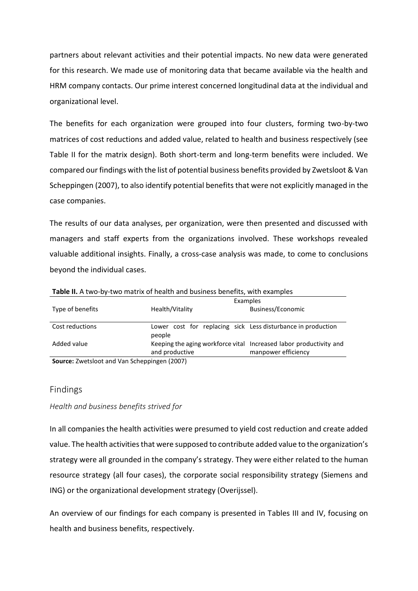partners about relevant activities and their potential impacts. No new data were generated for this research. We made use of monitoring data that became available via the health and HRM company contacts. Our prime interest concerned longitudinal data at the individual and organizational level.

The benefits for each organization were grouped into four clusters, forming two-by-two matrices of cost reductions and added value, related to health and business respectively (see Table II for the matrix design). Both short-term and long-term benefits were included. We compared our findings with the list of potential business benefits provided by Zwetsloot & Van Scheppingen (2007), to also identify potential benefits that were not explicitly managed in the case companies.

The results of our data analyses, per organization, were then presented and discussed with managers and staff experts from the organizations involved. These workshops revealed valuable additional insights. Finally, a cross-case analysis was made, to come to conclusions beyond the individual cases.

|                                                     | Examples                                                     |                                                                    |  |
|-----------------------------------------------------|--------------------------------------------------------------|--------------------------------------------------------------------|--|
| Type of benefits                                    | Health/Vitality                                              | Business/Economic                                                  |  |
|                                                     |                                                              |                                                                    |  |
| Cost reductions                                     | Lower cost for replacing sick Less disturbance in production |                                                                    |  |
|                                                     | people                                                       |                                                                    |  |
| Added value                                         |                                                              | Keeping the aging workforce vital Increased labor productivity and |  |
|                                                     | and productive                                               | manpower efficiency                                                |  |
| <b>Source:</b> Zwetsloot and Van Schenningen (2007) |                                                              |                                                                    |  |

**Table II.** A two-by-two matrix of health and business benefits, with examples

**Source:** Zwetsloot and Van Scheppingen (2007)

## Findings

*Health and business benefits strived for*

In all companies the health activities were presumed to yield cost reduction and create added value. The health activities that were supposed to contribute added value to the organization's strategy were all grounded in the company's strategy. They were either related to the human resource strategy (all four cases), the corporate social responsibility strategy (Siemens and ING) or the organizational development strategy (Overijssel).

An overview of our findings for each company is presented in Tables III and IV, focusing on health and business benefits, respectively.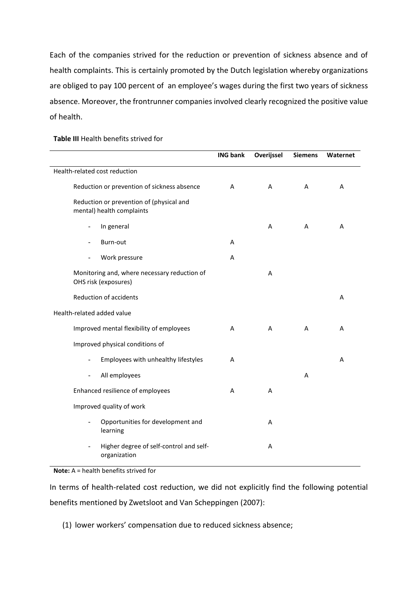Each of the companies strived for the reduction or prevention of sickness absence and of health complaints. This is certainly promoted by the Dutch legislation whereby organizations are obliged to pay 100 percent of an employee's wages during the first two years of sickness absence. Moreover, the frontrunner companies involved clearly recognized the positive value of health.

|                                                                       | <b>ING bank</b> | Overijssel | <b>Siemens</b> | Waternet |
|-----------------------------------------------------------------------|-----------------|------------|----------------|----------|
| Health-related cost reduction                                         |                 |            |                |          |
| Reduction or prevention of sickness absence                           | A               | A          | A              | A        |
| Reduction or prevention of (physical and<br>mental) health complaints |                 |            |                |          |
| In general<br>$\overline{\phantom{a}}$                                |                 | A          | A              | A        |
| Burn-out<br>$\blacksquare$                                            | A               |            |                |          |
| Work pressure<br>$\overline{\phantom{a}}$                             | A               |            |                |          |
| Monitoring and, where necessary reduction of<br>OHS risk (exposures)  |                 | A          |                |          |
| <b>Reduction of accidents</b>                                         |                 |            |                | A        |
| Health-related added value                                            |                 |            |                |          |
| Improved mental flexibility of employees                              | A               | A          | A              | A        |
| Improved physical conditions of                                       |                 |            |                |          |
| Employees with unhealthy lifestyles                                   | A               |            |                | A        |
| All employees<br>$\overline{\phantom{a}}$                             |                 |            | A              |          |
| Enhanced resilience of employees                                      | A               | A          |                |          |
| Improved quality of work                                              |                 |            |                |          |
| Opportunities for development and<br>learning                         |                 | A          |                |          |
| Higher degree of self-control and self-<br>organization               |                 | A          |                |          |

#### **Table III** Health benefits strived for

**Note:** A = health benefits strived for

In terms of health-related cost reduction, we did not explicitly find the following potential benefits mentioned by Zwetsloot and Van Scheppingen (2007):

(1) lower workers' compensation due to reduced sickness absence;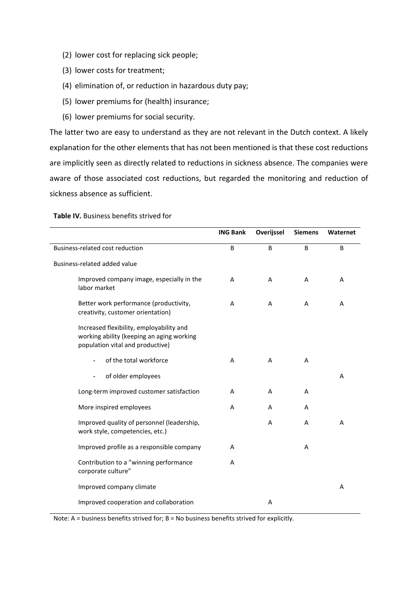- (2) lower cost for replacing sick people;
- (3) lower costs for treatment;
- (4) elimination of, or reduction in hazardous duty pay;
- (5) lower premiums for (health) insurance;
- (6) lower premiums for social security.

The latter two are easy to understand as they are not relevant in the Dutch context. A likely explanation for the other elements that has not been mentioned is that these cost reductions are implicitly seen as directly related to reductions in sickness absence. The companies were aware of those associated cost reductions, but regarded the monitoring and reduction of sickness absence as sufficient.

|                                                                                                                           | <b>ING Bank</b> | Overijssel | <b>Siemens</b> | Waternet |
|---------------------------------------------------------------------------------------------------------------------------|-----------------|------------|----------------|----------|
| Business-related cost reduction                                                                                           | B               | B          | B              | B        |
| Business-related added value                                                                                              |                 |            |                |          |
| Improved company image, especially in the<br>labor market                                                                 | A               | A          | A              | A        |
| Better work performance (productivity,<br>creativity, customer orientation)                                               | A               | A          | A              | A        |
| Increased flexibility, employability and<br>working ability (keeping an aging working<br>population vital and productive) |                 |            |                |          |
| of the total workforce<br>÷,                                                                                              | A               | A          | A              |          |
| of older employees<br>$\overline{\phantom{0}}$                                                                            |                 |            |                | A        |
| Long-term improved customer satisfaction                                                                                  | A               | A          | A              |          |
| More inspired employees                                                                                                   | A               | A          | A              |          |
| Improved quality of personnel (leadership,<br>work style, competencies, etc.)                                             |                 | A          | A              | A        |
| Improved profile as a responsible company                                                                                 | A               |            | A              |          |
| Contribution to a "winning performance<br>corporate culture"                                                              | A               |            |                |          |
| Improved company climate                                                                                                  |                 |            |                | A        |
| Improved cooperation and collaboration                                                                                    |                 | A          |                |          |

**Table IV.** Business benefits strived for

Note: A = business benefits strived for; B = No business benefits strived for explicitly.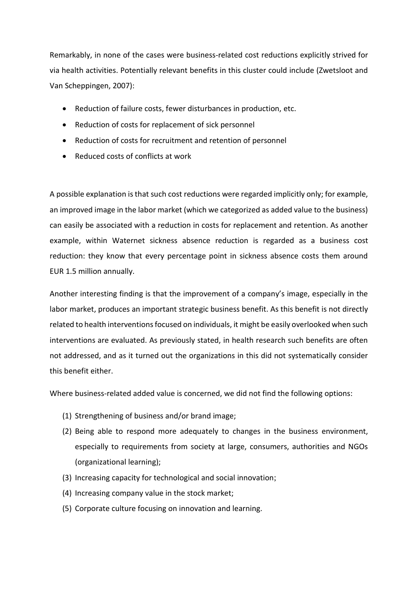Remarkably, in none of the cases were business-related cost reductions explicitly strived for via health activities. Potentially relevant benefits in this cluster could include (Zwetsloot and Van Scheppingen, 2007):

- Reduction of failure costs, fewer disturbances in production, etc.
- Reduction of costs for replacement of sick personnel
- Reduction of costs for recruitment and retention of personnel
- Reduced costs of conflicts at work

A possible explanation is that such cost reductions were regarded implicitly only; for example, an improved image in the labor market (which we categorized as added value to the business) can easily be associated with a reduction in costs for replacement and retention. As another example, within Waternet sickness absence reduction is regarded as a business cost reduction: they know that every percentage point in sickness absence costs them around EUR 1.5 million annually.

Another interesting finding is that the improvement of a company's image, especially in the labor market, produces an important strategic business benefit. As this benefit is not directly related to health interventions focused on individuals, it might be easily overlooked when such interventions are evaluated. As previously stated, in health research such benefits are often not addressed, and as it turned out the organizations in this did not systematically consider this benefit either.

Where business-related added value is concerned, we did not find the following options:

- (1) Strengthening of business and/or brand image;
- (2) Being able to respond more adequately to changes in the business environment, especially to requirements from society at large, consumers, authorities and NGOs (organizational learning);
- (3) Increasing capacity for technological and social innovation;
- (4) Increasing company value in the stock market;
- (5) Corporate culture focusing on innovation and learning.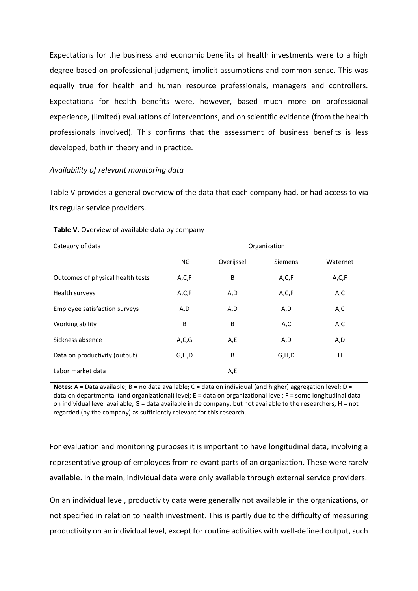Expectations for the business and economic benefits of health investments were to a high degree based on professional judgment, implicit assumptions and common sense. This was equally true for health and human resource professionals, managers and controllers. Expectations for health benefits were, however, based much more on professional experience, (limited) evaluations of interventions, and on scientific evidence (from the health professionals involved). This confirms that the assessment of business benefits is less developed, both in theory and in practice.

#### *Availability of relevant monitoring data*

Table V provides a general overview of the data that each company had, or had access to via its regular service providers.

| Category of data                  | Organization |            |                |          |
|-----------------------------------|--------------|------------|----------------|----------|
|                                   | <b>ING</b>   | Overijssel | <b>Siemens</b> | Waternet |
| Outcomes of physical health tests | A, C, F      | B          | A,C,F          | A,C,F    |
| Health surveys                    | A,C,F        | A,D        | A,C,F          | A,C      |
| Employee satisfaction surveys     | A,D          | A,D        | A,D            | A,C      |
| Working ability                   | B            | B          | A,C            | A,C      |
| Sickness absence                  | A,C,G        | A,E        | A,D            | A,D      |
| Data on productivity (output)     | G, H, D      | B          | G, H, D        | н        |
| Labor market data                 |              | A,E        |                |          |

#### **Table V.** Overview of available data by company

**Notes:** A = Data available; B = no data available; C = data on individual (and higher) aggregation level; D = data on departmental (and organizational) level; E = data on organizational level; F = some longitudinal data on individual level available; G = data available in de company, but not available to the researchers; H = not regarded (by the company) as sufficiently relevant for this research.

For evaluation and monitoring purposes it is important to have longitudinal data, involving a representative group of employees from relevant parts of an organization. These were rarely available. In the main, individual data were only available through external service providers.

On an individual level, productivity data were generally not available in the organizations, or not specified in relation to health investment. This is partly due to the difficulty of measuring productivity on an individual level, except for routine activities with well-defined output, such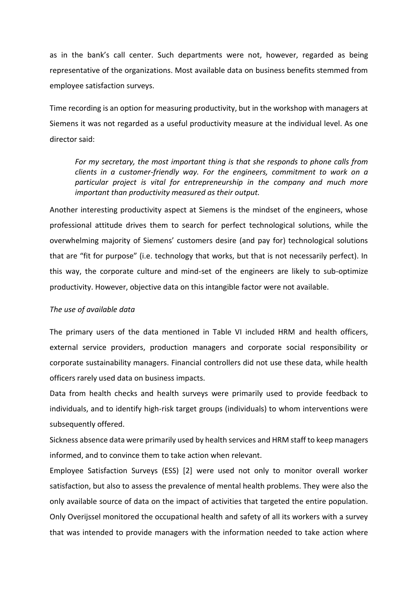as in the bank's call center. Such departments were not, however, regarded as being representative of the organizations. Most available data on business benefits stemmed from employee satisfaction surveys.

Time recording is an option for measuring productivity, but in the workshop with managers at Siemens it was not regarded as a useful productivity measure at the individual level. As one director said:

*For my secretary, the most important thing is that she responds to phone calls from clients in a customer-friendly way. For the engineers, commitment to work on a particular project is vital for entrepreneurship in the company and much more important than productivity measured as their output.*

Another interesting productivity aspect at Siemens is the mindset of the engineers, whose professional attitude drives them to search for perfect technological solutions, while the overwhelming majority of Siemens' customers desire (and pay for) technological solutions that are "fit for purpose" (i.e. technology that works, but that is not necessarily perfect). In this way, the corporate culture and mind-set of the engineers are likely to sub-optimize productivity. However, objective data on this intangible factor were not available.

## *The use of available data*

The primary users of the data mentioned in Table VI included HRM and health officers, external service providers, production managers and corporate social responsibility or corporate sustainability managers. Financial controllers did not use these data, while health officers rarely used data on business impacts.

Data from health checks and health surveys were primarily used to provide feedback to individuals, and to identify high-risk target groups (individuals) to whom interventions were subsequently offered.

Sickness absence data were primarily used by health services and HRM staff to keep managers informed, and to convince them to take action when relevant.

Employee Satisfaction Surveys (ESS) [2] were used not only to monitor overall worker satisfaction, but also to assess the prevalence of mental health problems. They were also the only available source of data on the impact of activities that targeted the entire population. Only Overijssel monitored the occupational health and safety of all its workers with a survey that was intended to provide managers with the information needed to take action where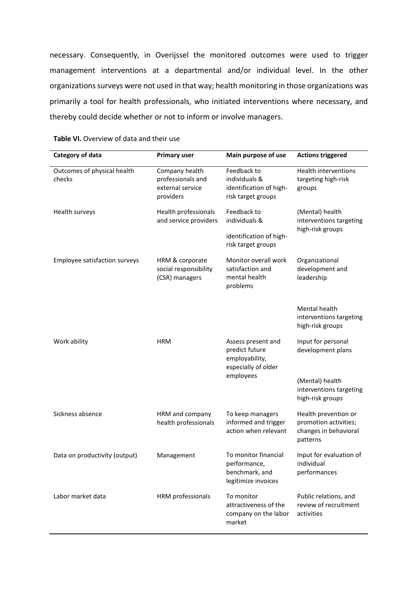necessary. Consequently, in Overijssel the monitored outcomes were used to trigger management interventions at a departmental and/or individual level. In the other organizations surveys were not used in that way; health monitoring in those organizations was primarily a tool for health professionals, who initiated interventions where necessary, and thereby could decide whether or not to inform or involve managers.

| Category of data                      | <b>Primary user</b>                                                  | Main purpose of use                                                                        | <b>Actions triggered</b>                                                           |
|---------------------------------------|----------------------------------------------------------------------|--------------------------------------------------------------------------------------------|------------------------------------------------------------------------------------|
| Outcomes of physical health<br>checks | Company health<br>professionals and<br>external service<br>providers | Feedback to<br>individuals &<br>identification of high-<br>risk target groups              | <b>Health interventions</b><br>targeting high-risk<br>groups                       |
| Health surveys                        | Health professionals<br>and service providers                        | Feedback to<br>individuals &                                                               | (Mental) health<br>interventions targeting<br>high-risk groups                     |
|                                       |                                                                      | identification of high-<br>risk target groups                                              |                                                                                    |
| <b>Employee satisfaction surveys</b>  | HRM & corporate<br>social responsibility<br>(CSR) managers           | Monitor overall work<br>satisfaction and<br>mental health<br>problems                      | Organizational<br>development and<br>leadership                                    |
|                                       |                                                                      |                                                                                            | Mental health<br>interventions targeting<br>high-risk groups                       |
| Work ability                          | <b>HRM</b>                                                           | Assess present and<br>predict future<br>employability,<br>especially of older<br>employees | Input for personal<br>development plans                                            |
|                                       |                                                                      |                                                                                            | (Mental) health<br>interventions targeting<br>high-risk groups                     |
| Sickness absence                      | HRM and company<br>health professionals                              | To keep managers<br>informed and trigger<br>action when relevant                           | Health prevention or<br>promotion activities;<br>changes in behavioral<br>patterns |
| Data on productivity (output)         | Management                                                           | To monitor financial<br>performance,<br>benchmark, and<br>legitimize invoices              | Input for evaluation of<br>individual<br>performances                              |
| Labor market data                     | HRM professionals                                                    | To monitor<br>attractiveness of the<br>company on the labor<br>market                      | Public relations, and<br>review of recruitment<br>activities                       |

**Table VI.** Overview of data and their use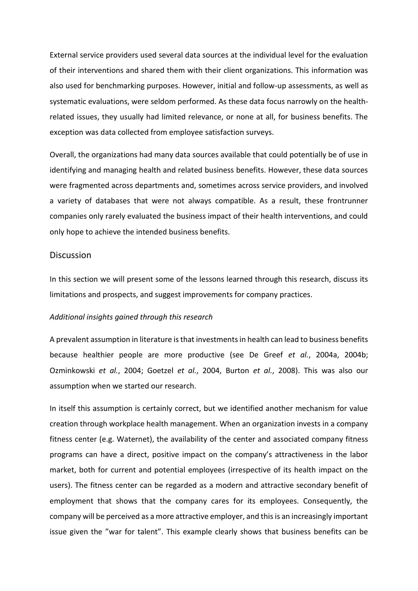External service providers used several data sources at the individual level for the evaluation of their interventions and shared them with their client organizations. This information was also used for benchmarking purposes. However, initial and follow-up assessments, as well as systematic evaluations, were seldom performed. As these data focus narrowly on the healthrelated issues, they usually had limited relevance, or none at all, for business benefits. The exception was data collected from employee satisfaction surveys.

Overall, the organizations had many data sources available that could potentially be of use in identifying and managing health and related business benefits. However, these data sources were fragmented across departments and, sometimes across service providers, and involved a variety of databases that were not always compatible. As a result, these frontrunner companies only rarely evaluated the business impact of their health interventions, and could only hope to achieve the intended business benefits.

#### **Discussion**

In this section we will present some of the lessons learned through this research, discuss its limitations and prospects, and suggest improvements for company practices.

#### *Additional insights gained through this research*

A prevalent assumption in literature is that investments in health can lead to business benefits because healthier people are more productive (see De Greef *et al.*, 2004a, 2004b; Ozminkowski *et al.*, 2004; Goetzel *et al.*, 2004, Burton *et al.*, 2008). This was also our assumption when we started our research.

In itself this assumption is certainly correct, but we identified another mechanism for value creation through workplace health management. When an organization invests in a company fitness center (e.g. Waternet), the availability of the center and associated company fitness programs can have a direct, positive impact on the company's attractiveness in the labor market, both for current and potential employees (irrespective of its health impact on the users). The fitness center can be regarded as a modern and attractive secondary benefit of employment that shows that the company cares for its employees. Consequently, the company will be perceived as a more attractive employer, and this is an increasingly important issue given the "war for talent". This example clearly shows that business benefits can be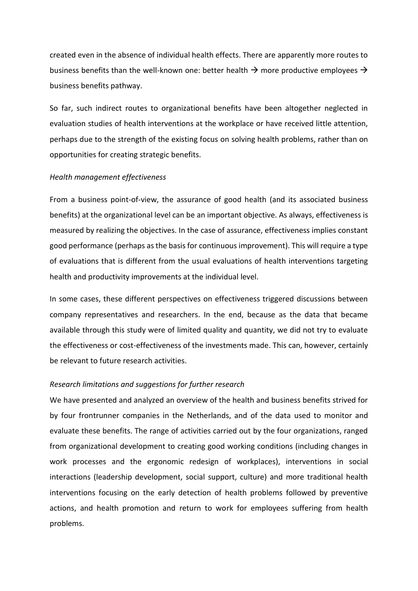created even in the absence of individual health effects. There are apparently more routes to business benefits than the well-known one: better health  $\rightarrow$  more productive employees  $\rightarrow$ business benefits pathway.

So far, such indirect routes to organizational benefits have been altogether neglected in evaluation studies of health interventions at the workplace or have received little attention, perhaps due to the strength of the existing focus on solving health problems, rather than on opportunities for creating strategic benefits.

#### *Health management effectiveness*

From a business point-of-view, the assurance of good health (and its associated business benefits) at the organizational level can be an important objective. As always, effectiveness is measured by realizing the objectives. In the case of assurance, effectiveness implies constant good performance (perhaps as the basis for continuous improvement). This will require a type of evaluations that is different from the usual evaluations of health interventions targeting health and productivity improvements at the individual level.

In some cases, these different perspectives on effectiveness triggered discussions between company representatives and researchers. In the end, because as the data that became available through this study were of limited quality and quantity, we did not try to evaluate the effectiveness or cost-effectiveness of the investments made. This can, however, certainly be relevant to future research activities.

#### *Research limitations and suggestions for further research*

We have presented and analyzed an overview of the health and business benefits strived for by four frontrunner companies in the Netherlands, and of the data used to monitor and evaluate these benefits. The range of activities carried out by the four organizations, ranged from organizational development to creating good working conditions (including changes in work processes and the ergonomic redesign of workplaces), interventions in social interactions (leadership development, social support, culture) and more traditional health interventions focusing on the early detection of health problems followed by preventive actions, and health promotion and return to work for employees suffering from health problems.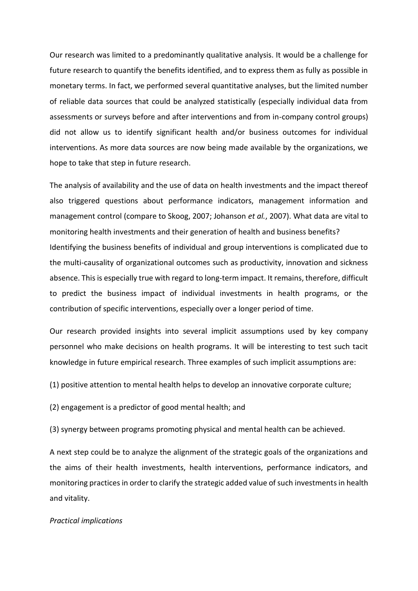Our research was limited to a predominantly qualitative analysis. It would be a challenge for future research to quantify the benefits identified, and to express them as fully as possible in monetary terms. In fact, we performed several quantitative analyses, but the limited number of reliable data sources that could be analyzed statistically (especially individual data from assessments or surveys before and after interventions and from in-company control groups) did not allow us to identify significant health and/or business outcomes for individual interventions. As more data sources are now being made available by the organizations, we hope to take that step in future research.

The analysis of availability and the use of data on health investments and the impact thereof also triggered questions about performance indicators, management information and management control (compare to Skoog, 2007; Johanson *et al.*, 2007). What data are vital to monitoring health investments and their generation of health and business benefits? Identifying the business benefits of individual and group interventions is complicated due to the multi-causality of organizational outcomes such as productivity, innovation and sickness absence. This is especially true with regard to long-term impact. It remains, therefore, difficult to predict the business impact of individual investments in health programs, or the contribution of specific interventions, especially over a longer period of time.

Our research provided insights into several implicit assumptions used by key company personnel who make decisions on health programs. It will be interesting to test such tacit knowledge in future empirical research. Three examples of such implicit assumptions are:

(1) positive attention to mental health helps to develop an innovative corporate culture;

(2) engagement is a predictor of good mental health; and

(3) synergy between programs promoting physical and mental health can be achieved.

A next step could be to analyze the alignment of the strategic goals of the organizations and the aims of their health investments, health interventions, performance indicators, and monitoring practices in order to clarify the strategic added value of such investments in health and vitality.

## *Practical implications*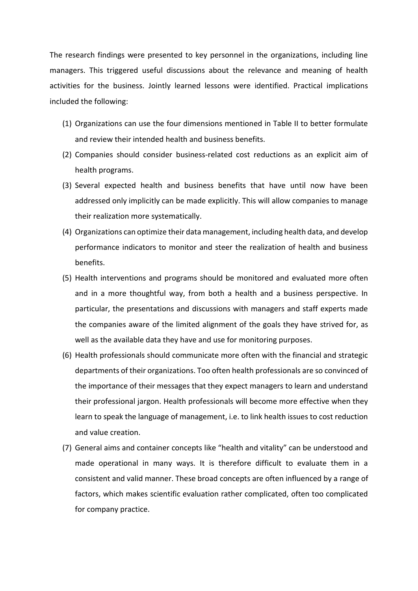The research findings were presented to key personnel in the organizations, including line managers. This triggered useful discussions about the relevance and meaning of health activities for the business. Jointly learned lessons were identified. Practical implications included the following:

- (1) Organizations can use the four dimensions mentioned in Table II to better formulate and review their intended health and business benefits.
- (2) Companies should consider business-related cost reductions as an explicit aim of health programs.
- (3) Several expected health and business benefits that have until now have been addressed only implicitly can be made explicitly. This will allow companies to manage their realization more systematically.
- (4) Organizations can optimize their data management, including health data, and develop performance indicators to monitor and steer the realization of health and business benefits.
- (5) Health interventions and programs should be monitored and evaluated more often and in a more thoughtful way, from both a health and a business perspective. In particular, the presentations and discussions with managers and staff experts made the companies aware of the limited alignment of the goals they have strived for, as well as the available data they have and use for monitoring purposes.
- (6) Health professionals should communicate more often with the financial and strategic departments of their organizations. Too often health professionals are so convinced of the importance of their messages that they expect managers to learn and understand their professional jargon. Health professionals will become more effective when they learn to speak the language of management, i.e. to link health issues to cost reduction and value creation.
- (7) General aims and container concepts like "health and vitality" can be understood and made operational in many ways. It is therefore difficult to evaluate them in a consistent and valid manner. These broad concepts are often influenced by a range of factors, which makes scientific evaluation rather complicated, often too complicated for company practice.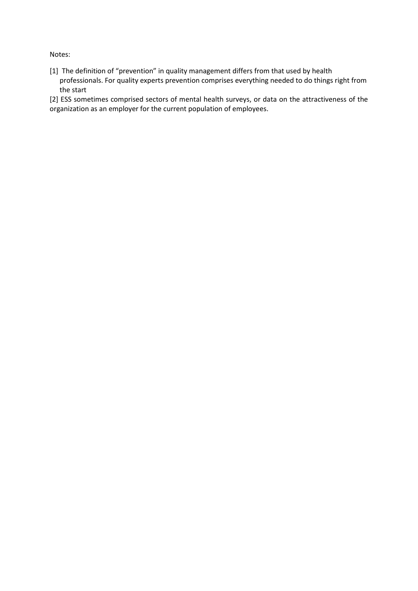Notes:

[1] The definition of "prevention" in quality management differs from that used by health professionals. For quality experts prevention comprises everything needed to do things right from the start

[2] ESS sometimes comprised sectors of mental health surveys, or data on the attractiveness of the organization as an employer for the current population of employees.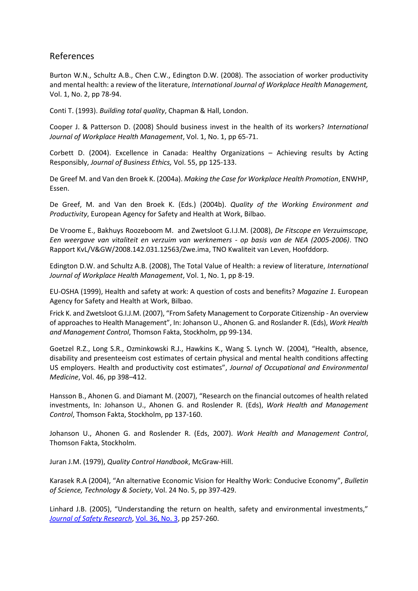# References

Burton W.N., Schultz A.B., Chen C.W., Edington D.W. (2008). The association of worker productivity and mental health: a review of the literature, *International Journal of Workplace Health Management,*  Vol. 1, No. 2, pp 78-94.

Conti T. (1993). *Building total quality*, Chapman & Hall, London.

Cooper J. & Patterson D. (2008) Should business invest in the health of its workers? *International Journal of Workplace Health Management*, Vol. 1, No. 1, pp 65-71.

Corbett D. (2004). Excellence in Canada: Healthy Organizations – Achieving results by Acting Responsibly, *Journal of Business Ethics,* Vol. 55, pp 125-133.

De Greef M. and Van den Broek K. (2004a). *Making the Case for Workplace Health Promotion*, ENWHP, Essen.

De Greef, M. and Van den Broek K. (Eds.) (2004b). *Quality of the Working Environment and Productivity*, European Agency for Safety and Health at Work, Bilbao.

De Vroome E., Bakhuys Roozeboom M. and Zwetsloot G.I.J.M. (2008), *De Fitscope en Verzuimscope, Een weergave van vitaliteit en verzuim van werknemers - op basis van de NEA (2005-2006)*. TNO Rapport KvL/V&GW/2008.142.031.12563/Zwe.ima, TNO Kwaliteit van Leven, Hoofddorp.

Edington D.W. and Schultz A.B. (2008), The Total Value of Health: a review of literature, *International Journal of Workplace Health Management*, Vol. 1, No. 1, pp 8-19.

EU-OSHA (1999), Health and safety at work: A question of costs and benefits? *Magazine 1.* European Agency for Safety and Health at Work, Bilbao.

Frick K. and Zwetsloot G.I.J.M. (2007), "From Safety Management to Corporate Citizenship - An overview of approaches to Health Management", In: Johanson U., Ahonen G. and Roslander R. (Eds), *Work Health and Management Control*, Thomson Fakta, Stockholm, pp 99-134.

Goetzel R.Z., Long S.R., Ozminkowski R.J., Hawkins K., Wang S. Lynch W. (2004), "Health, absence, disability and presenteeism cost estimates of certain physical and mental health conditions affecting US employers. Health and productivity cost estimates", *Journal of Occupational and Environmental Medicine*, Vol. 46, pp 398–412.

Hansson B., Ahonen G. and Diamant M. (2007), "Research on the financial outcomes of health related investments, In: Johanson U., Ahonen G. and Roslender R. (Eds), *Work Health and Management Control*, Thomson Fakta, Stockholm, pp 137-160.

Johanson U., Ahonen G. and Roslender R. (Eds, 2007). *Work Health and Management Control*, Thomson Fakta, Stockholm.

Juran J.M. (1979), *Quality Control Handbook*, McGraw-Hill.

Karasek R.A (2004), "An alternative Economic Vision for Healthy Work: Conducive Economy", *Bulletin of Science, Technology & Society*, Vol. 24 No. 5, pp 397-429.

Linhard J.B. (2005), "Understanding the return on health, safety and environmental investments," *[Journal of Safety Research](http://www.sciencedirect.com/science/journal/00224375)*, [Vol. 36, No. 3,](http://www.sciencedirect.com/science?_ob=PublicationURL&_tockey=%23TOC%235813%232005%23999639996%23602839%23FLA%23&_cdi=5813&_pubType=J&view=c&_auth=y&_acct=C000031079&_version=1&_urlVersion=0&_userid=603085&md5=590b425392d1d0bfc9d88d88c0276430) pp 257-260.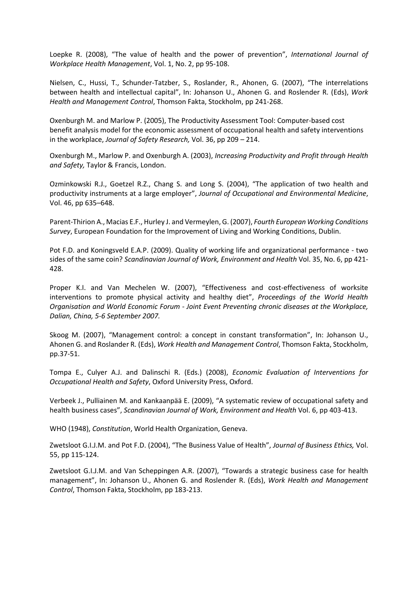Loepke R. (2008), "The value of health and the power of prevention", *International Journal of Workplace Health Management*, Vol. 1, No. 2, pp 95-108.

Nielsen, C., Hussi, T., Schunder-Tatzber, S., Roslander, R., Ahonen, G. (2007), "The interrelations between health and intellectual capital", In: Johanson U., Ahonen G. and Roslender R. (Eds), *Work Health and Management Control*, Thomson Fakta, Stockholm, pp 241-268.

Oxenburgh M. and Marlow P. (2005), The Productivity Assessment Tool: Computer-based cost benefit analysis model for the economic assessment of occupational health and safety interventions in the workplace, *Journal of Safety Research,* Vol. 36, pp 209 – 214.

Oxenburgh M., Marlow P. and Oxenburgh A. (2003), *Increasing Productivity and Profit through Health and Safety,* Taylor & Francis, London.

Ozminkowski R.J., Goetzel R.Z., Chang S. and Long S. (2004), "The application of two health and productivity instruments at a large employer", *Journal of Occupational and Environmental Medicine*, Vol. 46, pp 635–648.

Parent-Thirion A., Macias E.F., Hurley J. and Vermeylen, G. (2007), *Fourth European Working Conditions Survey*, European Foundation for the Improvement of Living and Working Conditions, Dublin.

Pot F.D. and Koningsveld E.A.P. (2009). Quality of working life and organizational performance - two sides of the same coin? *Scandinavian Journal of Work, Environment and Health* Vol. 35, No. 6, pp 421- 428.

Proper K.I. and Van Mechelen W. (2007), "Effectiveness and cost-effectiveness of worksite interventions to promote physical activity and healthy diet", *Proceedings of the World Health Organisation and World Economic Forum - Joint Event Preventing chronic diseases at the Workplace, Dalian, China, 5-6 September 2007.*

Skoog M. (2007), "Management control: a concept in constant transformation", In: Johanson U., Ahonen G. and Roslander R. (Eds), *Work Health and Management Control*, Thomson Fakta, Stockholm, pp.37-51.

Tompa E., Culyer A.J. and Dalinschi R. (Eds.) (2008), *Economic Evaluation of Interventions for Occupational Health and Safety*, Oxford University Press, Oxford.

Verbeek J., Pulliainen M. and Kankaanpää E. (2009), "A systematic review of occupational safety and health business cases", *Scandinavian Journal of Work, Environment and Health* Vol. 6, pp 403-413.

WHO (1948), *Constitution*, World Health Organization, Geneva.

Zwetsloot G.I.J.M. and Pot F.D. (2004), "The Business Value of Health", *Journal of Business Ethics,* Vol. 55, pp 115-124.

Zwetsloot G.I.J.M. and Van Scheppingen A.R. (2007), "Towards a strategic business case for health management", In: Johanson U., Ahonen G. and Roslender R. (Eds), *Work Health and Management Control*, Thomson Fakta, Stockholm, pp 183-213.